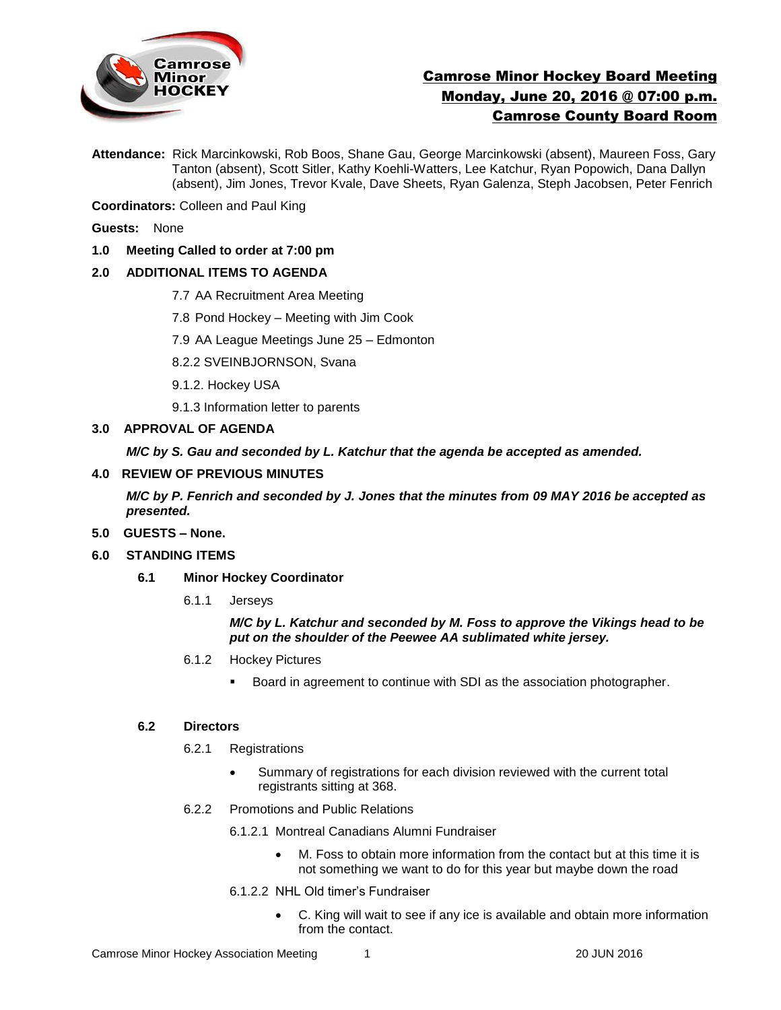

# Camrose Minor Hockey Board Meeting Monday, June 20, 2016 @ 07:00 p.m. Camrose County Board Room

**Attendance:** Rick Marcinkowski, Rob Boos, Shane Gau, George Marcinkowski (absent), Maureen Foss, Gary Tanton (absent), Scott Sitler, Kathy Koehli-Watters, Lee Katchur, Ryan Popowich, Dana Dallyn (absent), Jim Jones, Trevor Kvale, Dave Sheets, Ryan Galenza, Steph Jacobsen, Peter Fenrich

**Coordinators:** Colleen and Paul King

- **Guests:** None
- **1.0 Meeting Called to order at 7:00 pm**

# **2.0 ADDITIONAL ITEMS TO AGENDA**

- 7.7 AA Recruitment Area Meeting
- 7.8 Pond Hockey Meeting with Jim Cook
- 7.9 AA League Meetings June 25 Edmonton
- 8.2.2 SVEINBJORNSON, Svana
- 9.1.2. Hockey USA
- 9.1.3 Information letter to parents

## **3.0 APPROVAL OF AGENDA**

*M/C by S. Gau and seconded by L. Katchur that the agenda be accepted as amended.* 

## **4.0 REVIEW OF PREVIOUS MINUTES**

*M/C by P. Fenrich and seconded by J. Jones that the minutes from 09 MAY 2016 be accepted as presented.*

- **5.0 GUESTS – None.**
- **6.0 STANDING ITEMS**
	- **6.1 Minor Hockey Coordinator** 
		- 6.1.1 Jerseys

*M/C by L. Katchur and seconded by M. Foss to approve the Vikings head to be put on the shoulder of the Peewee AA sublimated white jersey.* 

- 6.1.2 Hockey Pictures
	- Board in agreement to continue with SDI as the association photographer.

#### **6.2 Directors**

- 6.2.1 Registrations
	- Summary of registrations for each division reviewed with the current total registrants sitting at 368.
- 6.2.2 Promotions and Public Relations

6.1.2.1 Montreal Canadians Alumni Fundraiser

- M. Foss to obtain more information from the contact but at this time it is not something we want to do for this year but maybe down the road
- 6.1.2.2 NHL Old timer's Fundraiser
	- C. King will wait to see if any ice is available and obtain more information from the contact.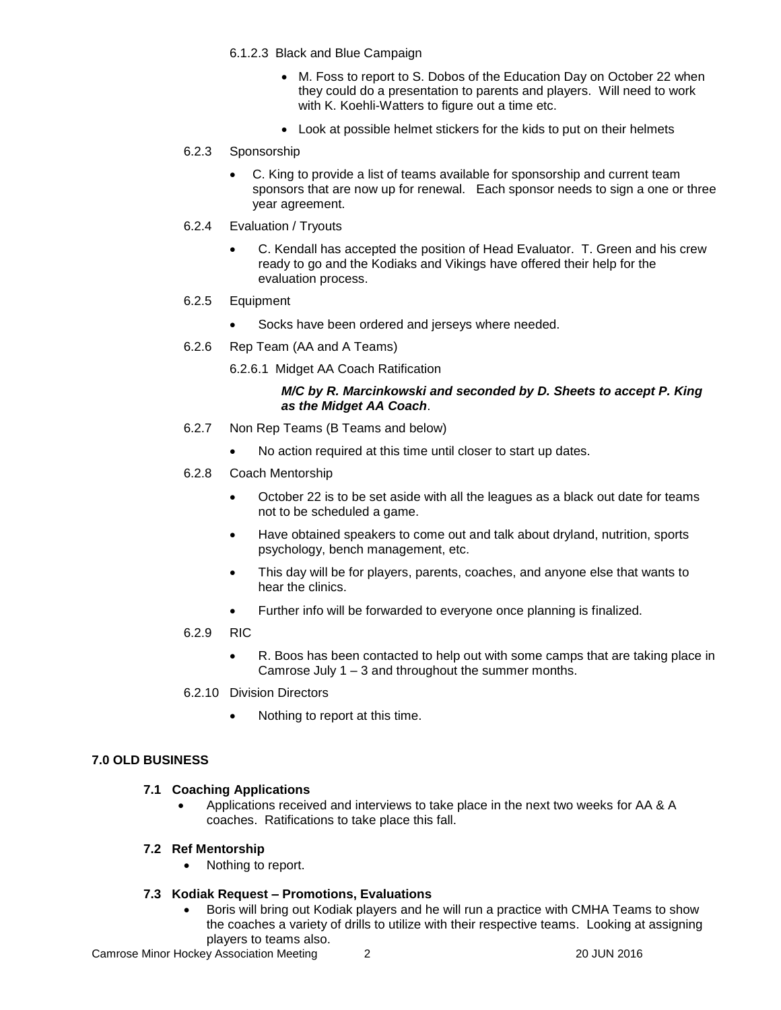- 6.1.2.3 Black and Blue Campaign
	- M. Foss to report to S. Dobos of the Education Day on October 22 when they could do a presentation to parents and players. Will need to work with K. Koehli-Watters to figure out a time etc.
	- Look at possible helmet stickers for the kids to put on their helmets
- 6.2.3 Sponsorship
	- C. King to provide a list of teams available for sponsorship and current team sponsors that are now up for renewal. Each sponsor needs to sign a one or three year agreement.
- 6.2.4 Evaluation / Tryouts
	- C. Kendall has accepted the position of Head Evaluator. T. Green and his crew ready to go and the Kodiaks and Vikings have offered their help for the evaluation process.
- 6.2.5 Equipment
	- Socks have been ordered and jerseys where needed.
- 6.2.6 Rep Team (AA and A Teams)

6.2.6.1 Midget AA Coach Ratification

## *M/C by R. Marcinkowski and seconded by D. Sheets to accept P. King as the Midget AA Coach*.

- 6.2.7 Non Rep Teams (B Teams and below)
	- No action required at this time until closer to start up dates.
- 6.2.8 Coach Mentorship
	- October 22 is to be set aside with all the leagues as a black out date for teams not to be scheduled a game.
	- Have obtained speakers to come out and talk about dryland, nutrition, sports psychology, bench management, etc.
	- This day will be for players, parents, coaches, and anyone else that wants to hear the clinics.
	- Further info will be forwarded to everyone once planning is finalized.
- 6.2.9 RIC
	- R. Boos has been contacted to help out with some camps that are taking place in Camrose July 1 – 3 and throughout the summer months.
- 6.2.10 Division Directors
	- Nothing to report at this time.

# **7.0 OLD BUSINESS**

# **7.1 Coaching Applications**

- Applications received and interviews to take place in the next two weeks for AA & A coaches. Ratifications to take place this fall.
- **7.2 Ref Mentorship** 
	- Nothing to report.

# **7.3 Kodiak Request – Promotions, Evaluations**

 Boris will bring out Kodiak players and he will run a practice with CMHA Teams to show the coaches a variety of drills to utilize with their respective teams. Looking at assigning players to teams also.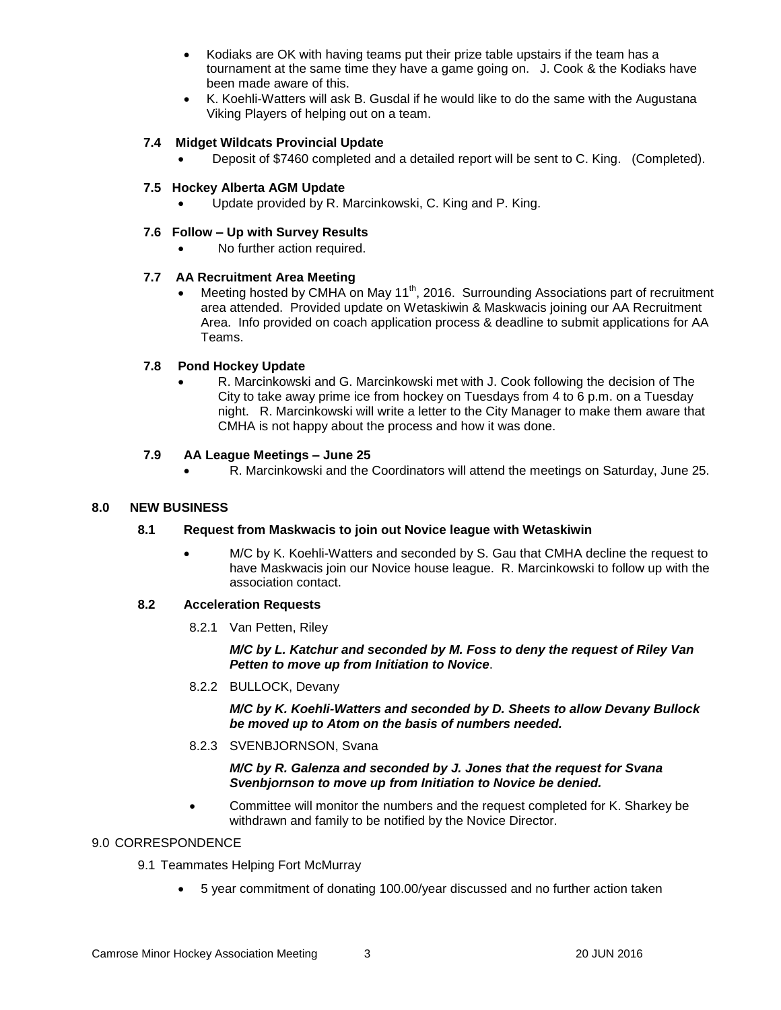- Kodiaks are OK with having teams put their prize table upstairs if the team has a tournament at the same time they have a game going on. J. Cook & the Kodiaks have been made aware of this.
- K. Koehli-Watters will ask B. Gusdal if he would like to do the same with the Augustana Viking Players of helping out on a team.

# **7.4 Midget Wildcats Provincial Update**

Deposit of \$7460 completed and a detailed report will be sent to C. King. (Completed).

#### **7.5 Hockey Alberta AGM Update**

Update provided by R. Marcinkowski, C. King and P. King.

#### **7.6 Follow – Up with Survey Results**

No further action required.

## **7.7 AA Recruitment Area Meeting**

Meeting hosted by CMHA on May 11<sup>th</sup>, 2016. Surrounding Associations part of recruitment area attended. Provided update on Wetaskiwin & Maskwacis joining our AA Recruitment Area. Info provided on coach application process & deadline to submit applications for AA Teams.

## **7.8 Pond Hockey Update**

 R. Marcinkowski and G. Marcinkowski met with J. Cook following the decision of The City to take away prime ice from hockey on Tuesdays from 4 to 6 p.m. on a Tuesday night. R. Marcinkowski will write a letter to the City Manager to make them aware that CMHA is not happy about the process and how it was done.

## **7.9 AA League Meetings – June 25**

R. Marcinkowski and the Coordinators will attend the meetings on Saturday, June 25.

#### **8.0 NEW BUSINESS**

#### **8.1 Request from Maskwacis to join out Novice league with Wetaskiwin**

 M/C by K. Koehli-Watters and seconded by S. Gau that CMHA decline the request to have Maskwacis join our Novice house league. R. Marcinkowski to follow up with the association contact.

# **8.2 Acceleration Requests**

8.2.1 Van Petten, Riley

*M/C by L. Katchur and seconded by M. Foss to deny the request of Riley Van Petten to move up from Initiation to Novice*.

8.2.2 BULLOCK, Devany

*M/C by K. Koehli-Watters and seconded by D. Sheets to allow Devany Bullock be moved up to Atom on the basis of numbers needed.* 

8.2.3 SVENBJORNSON, Svana

*M/C by R. Galenza and seconded by J. Jones that the request for Svana Svenbjornson to move up from Initiation to Novice be denied.* 

 Committee will monitor the numbers and the request completed for K. Sharkey be withdrawn and family to be notified by the Novice Director.

# 9.0 CORRESPONDENCE

- 9.1 Teammates Helping Fort McMurray
	- 5 year commitment of donating 100.00/year discussed and no further action taken